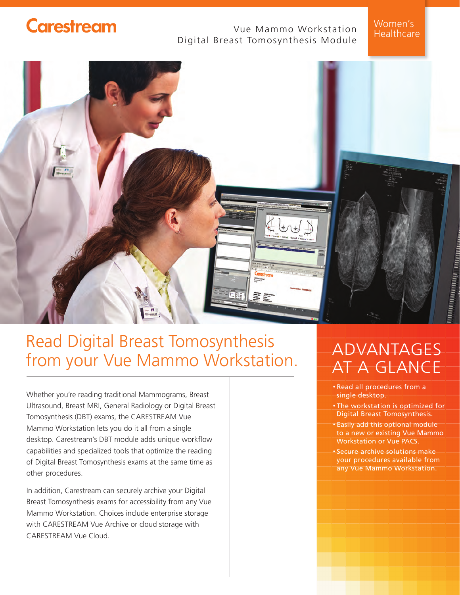### **Carestream**

### Vue Mammo Workstation Digital Breast Tomosynthesis Module

Women's Healthcare



# Read Digital Breast Tomosynthesis from your Vue Mammo Workstation.

Whether you're reading traditional Mammograms, Breast Ultrasound, Breast MRI, General Radiology or Digital Breast Tomosynthesis (DBT) exams, the CARESTREAM Vue Mammo Workstation lets you do it all from a single desktop. Carestream's DBT module adds unique workflow capabilities and specialized tools that optimize the reading of Digital Breast Tomosynthesis exams at the same time as other procedures.

In addition, Carestream can securely archive your Digital Breast Tomosynthesis exams for accessibility from any Vue Mammo Workstation. Choices include enterprise storage with CARESTREAM Vue Archive or cloud storage with CARESTREAM Vue Cloud.

## ADVANTAGES AT A GLANCE

- Read all procedures from a single desktop.
- The workstation is optimized for Digital Breast Tomosynthesis.
- Easily add this optional module to a new or existing Vue Mammo Workstation or Vue PACS.
- Secure archive solutions make your procedures available from any Vue Mammo Workstation.